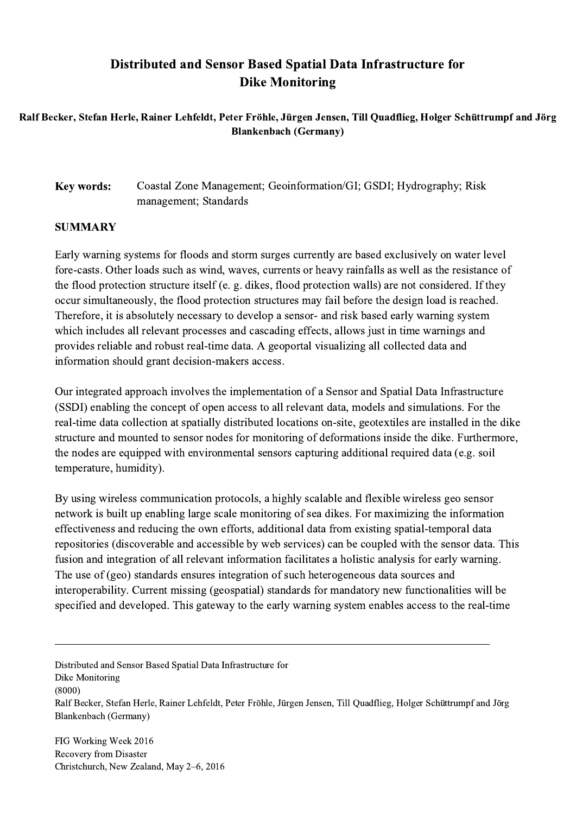## Distributed and Sensor Based Spatial Data Infrastructure for Dike Monitoring

Ralf Becker, Stefan Herle, Rainer Lehfeldt, Peter Fröhle, Jürgen Jensen, Till Quadflieg, Holger Schüttrumpf and Jörg Blankenbach (Germany)

Key words: Coastal Zone Management; Geoinformation/GI; GSDI; Hydrography; Risk management; Standards

## **SUMMARY**

Early warning systems for floods and storm surges currently are based exclusively on water level fore-casts. Other loads such as wind, waves, currents or heavy rainfalls as well as the resistance of the flood protection structure itself (e. g. dikes, flood protection walls) are not considered. If they occur simultaneously, the flood protection structures may fail before the design load is reached. Therefore, it is absolutely necessary to develop a sensor- and risk based early warning system which includes all relevant processes and cascading effects, allows just in time warnings and provides reliable and robust real-time data. A geoportal visualizing all collected data and information should grant decision-makers access.

Our integrated approach involves the implementation of a Sensor and Spatial Data Infrastructure (SSDI) enabling the concept of open access to all relevant data, models and simulations. For the real-time data collection at spatially distributed locations on-site, geotextiles are installed in the dike structure and mounted to sensor nodes for monitoring of deformations inside the dike. Furthermore, the nodes are equipped with environmental sensors capturing additional required data (e.g. soil temperature, humidity).

By using wireless communication protocols, a highly scalable and flexible wireless geo sensor network is built up enabling large scale monitoring of sea dikes. For maximizing the information effectiveness and reducing the own efforts, additional data from existing spatial-temporal data repositories (discoverable and accessible by web services) can be coupled with the sensor data. This fusion and integration of all relevant information facilitates a holistic analysis for early warning. The use of (geo) standards ensures integration of such heterogeneous data sources and interoperability. Current missing (geospatial) standards for mandatory new functionalities will be specified and developed. This gateway to the early warning system enables access to the real-time

Distributed and Sensor Based Spatial Data Infrastructure for Dike Monitoring (8000) Ralf Becker, Stefan Herle, Rainer Lehfeldt, Peter Fröhle, Jürgen Jensen, Till Quadflieg, Holger Schüttrumpf and Jörg Blankenbach (Germany)

 $\mathcal{L}_\mathcal{L} = \{ \mathcal{L}_\mathcal{L} = \{ \mathcal{L}_\mathcal{L} = \{ \mathcal{L}_\mathcal{L} = \{ \mathcal{L}_\mathcal{L} = \{ \mathcal{L}_\mathcal{L} = \{ \mathcal{L}_\mathcal{L} = \{ \mathcal{L}_\mathcal{L} = \{ \mathcal{L}_\mathcal{L} = \{ \mathcal{L}_\mathcal{L} = \{ \mathcal{L}_\mathcal{L} = \{ \mathcal{L}_\mathcal{L} = \{ \mathcal{L}_\mathcal{L} = \{ \mathcal{L}_\mathcal{L} = \{ \mathcal{L}_\mathcal{$ 

FIG Working Week 2016 Recovery from Disaster Christchurch, New Zealand, May 2–6, 2016